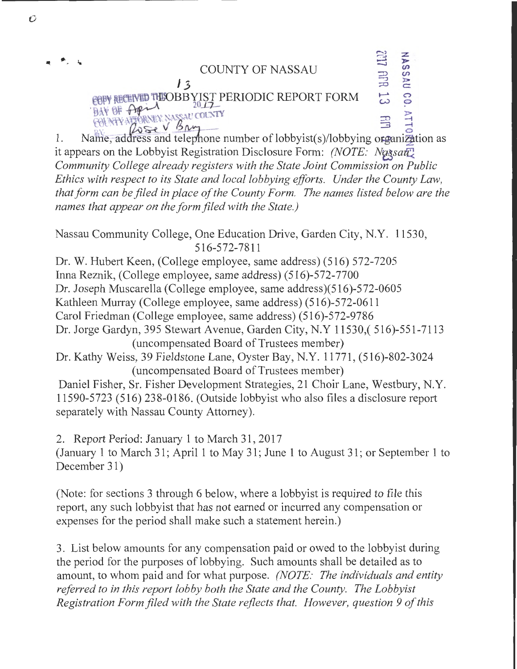

1. Name, address and telephone number of lobbyist(s)/lobbying organization as it appears on the Lobbyist Registration Disclosure Form: *(NOTE: Nassaut) Community College already registers with the State Joint Commission on Public Ethics with respect to its State and local lobbying efforts. Under the County Law, that form can be filed in place of the County Form. The names listed below are the names that appear on the form filed with the State.)* 

Nassau Community College, One Education Drive, Garden City, N.Y. 11530, 516-572-7811

Dr. W. Hubert Keen, (College employee, same address) (516) 572-7205 InnaReznik, (College employee, same address) (516)-572-7700 Dr. Joseph Muscarella (College employee, same address)(516)-572-0605 Kathleen Murray (College employee, same address) (516)-572-0611 Carol Friedman (College employee, same address) (516)-572-9786 Dr. Jorge Gardyn, 395 Stewart Avenue, Garden City, N.Y 11530,( 516)-551-7113 (uncompensated Board of Trustees member) Dr. Kathy Weiss, 39 Fieldstone Lane, Oyster Bay, N.Y. 11771, (516)-802-3024 (uncompensated Board of Trustees member)

Daniel Fisher, Sr. Fisher Development Strategies, 21 Choir Lane, Westbury, N.Y. 11590-5723 (516) 238-0186. (Outside lobbyist who also files a disclosure report separately with Nassau County Attorney).

2. Report Period: January 1 to March 31, 2017 (January 1 to March 31; April 1 to May 31; June 1 to August 31; or September 1 to December 31)

(Note: for sections 3 through 6 below, where a lobbyist is required to file this report, any such lobbyist that has not earned or incurred any compensation or expenses for the period shall make such a statement herein.)

3. List below amounts for any compensation paid or owed to the lobbyist during the period for the purposes of lobbying. Such amounts shall be detailed as to amount, to whom paid and for what purpose. *(NOTE: The individuals and entity referred to in this report lobby both the State and the County. The Lobbyist Registration Form filed with the State reflects that. However, question 9 of this*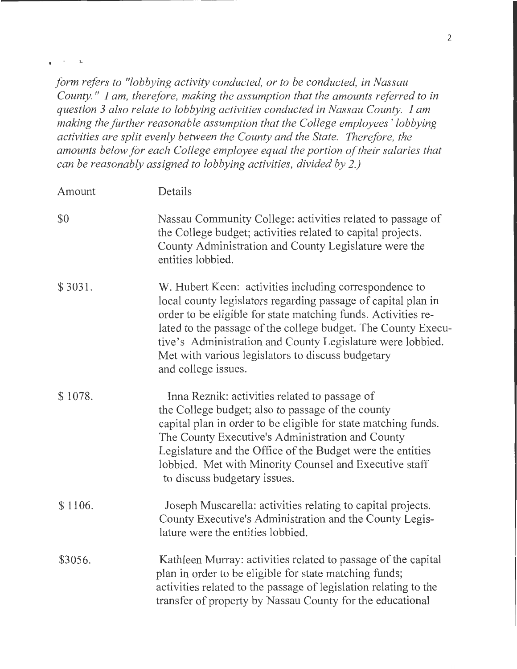*form refers to "lobbying activity conducted, or to be conducted, in Nassau County.* " *I am, therefore, making the assumption that the amounts referred to in question 3 also relate to lobbying activities conducted in Nassau County. I am making the further reasonable assumption that the College employees ' lobbying activities are split evenly between the County and the State. Therefore, the amounts below for each College employee equal the portion of their salaries that can be reasonably assigned to lobbying activities, divided by 2.)* 

 $\mathbf{r}$ 

 $\hat{\mathbf{z}}$ 

| Amount  | Details                                                                                                                                                                                                                                                                                                                                                                                             |
|---------|-----------------------------------------------------------------------------------------------------------------------------------------------------------------------------------------------------------------------------------------------------------------------------------------------------------------------------------------------------------------------------------------------------|
| \$0     | Nassau Community College: activities related to passage of<br>the College budget; activities related to capital projects.<br>County Administration and County Legislature were the<br>entities lobbied.                                                                                                                                                                                             |
| \$3031. | W. Hubert Keen: activities including correspondence to<br>local county legislators regarding passage of capital plan in<br>order to be eligible for state matching funds. Activities re-<br>lated to the passage of the college budget. The County Execu-<br>tive's Administration and County Legislature were lobbied.<br>Met with various legislators to discuss budgetary<br>and college issues. |
| \$1078. | Inna Reznik: activities related to passage of<br>the College budget; also to passage of the county<br>capital plan in order to be eligible for state matching funds.<br>The County Executive's Administration and County<br>Legislature and the Office of the Budget were the entities<br>lobbied. Met with Minority Counsel and Executive staff<br>to discuss budgetary issues.                    |
| \$1106. | Joseph Muscarella: activities relating to capital projects.<br>County Executive's Administration and the County Legis-<br>lature were the entities lobbied.                                                                                                                                                                                                                                         |
| \$3056. | Kathleen Murray: activities related to passage of the capital<br>plan in order to be eligible for state matching funds;<br>activities related to the passage of legislation relating to the<br>transfer of property by Nassau County for the educational                                                                                                                                            |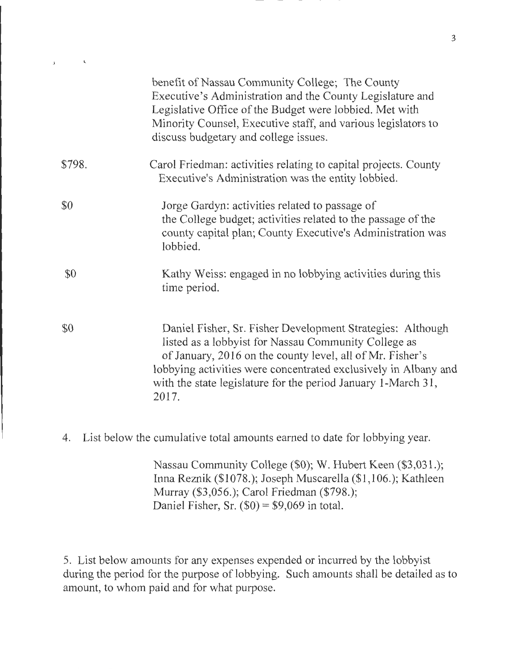|        | benefit of Nassau Community College; The County<br>Executive's Administration and the County Legislature and<br>Legislative Office of the Budget were lobbied. Met with<br>Minority Counsel, Executive staff, and various legislators to<br>discuss budgetary and college issues.                                            |
|--------|------------------------------------------------------------------------------------------------------------------------------------------------------------------------------------------------------------------------------------------------------------------------------------------------------------------------------|
| \$798. | Carol Friedman: activities relating to capital projects. County<br>Executive's Administration was the entity lobbied.                                                                                                                                                                                                        |
| \$0    | Jorge Gardyn: activities related to passage of<br>the College budget; activities related to the passage of the<br>county capital plan; County Executive's Administration was<br>lobbied.                                                                                                                                     |
| \$0    | Kathy Weiss: engaged in no lobbying activities during this<br>time period.                                                                                                                                                                                                                                                   |
| \$0    | Daniel Fisher, Sr. Fisher Development Strategies: Although<br>listed as a lobbyist for Nassau Community College as<br>of January, 2016 on the county level, all of Mr. Fisher's<br>lobbying activities were concentrated exclusively in Albany and<br>with the state legislature for the period January 1-March 31,<br>2017. |

 $\mathcal{L}^{\mathcal{L}}$  .

 $\pmb{\Lambda}$ 

4. List below the cumulative total amounts earned to date for lobbying year.

Nassau Community College (\$0); W. Hubert Keen (\$3,031.); Inna Reznik (\$1078.); Joseph Muscarella (\$1,106.); Kathleen Murray (\$3,056.); Carol Friedman (\$798.); Daniel Fisher, Sr.  $(\$0) = \$9,069$  in total.

5. List below amounts for any expenses expended or incurred by the lobbyist during the period for the purpose of lobbying. Such amounts shall be detailed as to amount, to whom paid and for what purpose.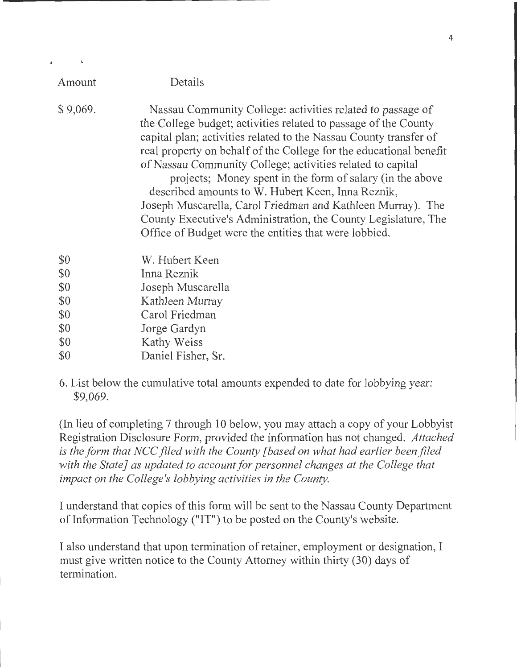| Amount                                        | Details                                                                                                                                                                                                                                                                                                                                                                                                                                                                                                                                                                                                                                            |
|-----------------------------------------------|----------------------------------------------------------------------------------------------------------------------------------------------------------------------------------------------------------------------------------------------------------------------------------------------------------------------------------------------------------------------------------------------------------------------------------------------------------------------------------------------------------------------------------------------------------------------------------------------------------------------------------------------------|
| \$9,069.                                      | Nassau Community College: activities related to passage of<br>the College budget; activities related to passage of the County<br>capital plan; activities related to the Nassau County transfer of<br>real property on behalf of the College for the educational benefit<br>of Nassau Community College; activities related to capital<br>projects; Money spent in the form of salary (in the above<br>described amounts to W. Hubert Keen, Inna Reznik,<br>Joseph Muscarella, Carol Friedman and Kathleen Murray). The<br>County Executive's Administration, the County Legislature, The<br>Office of Budget were the entities that were lobbied. |
| \$0<br>\$0<br>\$0<br>\$0<br>\$0<br>\$0<br>\$0 | W. Hubert Keen<br>Inna Reznik<br>Joseph Muscarella<br>Kathleen Murray<br>Carol Friedman<br>Jorge Gardyn<br>Kathy Weiss                                                                                                                                                                                                                                                                                                                                                                                                                                                                                                                             |
| \$0                                           | Daniel Fisher, Sr.                                                                                                                                                                                                                                                                                                                                                                                                                                                                                                                                                                                                                                 |

 $\mathbf{r} = \mathbf{r}$ 

 $\mathbf{r}$ 

6. List below the cumulative total amounts expended to date for lobbying year: \$9,069.

(In lieu of completing 7 through 10 below, you may attach a copy of your Lobbyist Registration Disclosure Form, provided the information has not changed. *Attached is the form that NCC filed with the County [based on what had earlier been filed with the State} as updated to account for personnel changes at the College that impact on the College's lobbying activities in the County.* 

I understand that copies of this form will be sent to the Nassau County Department of Information Technology ("IT") to be posted on the County's website.

I also understand that upon termination of retainer, employment or designation, I must give written notice to the County Attorney within thirty (30) days of termination.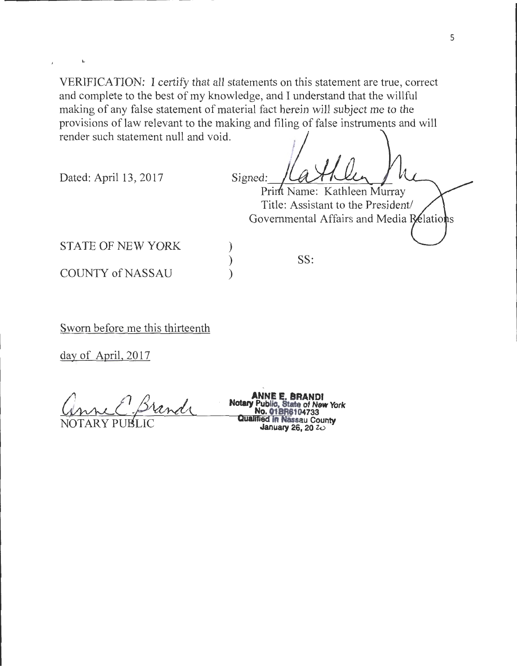VERIFICATION: I certify that all statements on this statement are true, correct and complete to the best of my knowledge, and I understand that the willful making of any false statement of material fact herein will subject me to the provisions of law relevant to the making and filing of false instruments and will render such statement null and void.

> ) ) )

Dated: April 13, 2017

Signed: Print Name: Kathleen Murray

Title: Assistant to the President/ Governmental Affairs and Media Relations

STATE OF NEW YORK

**COUNTY of NASSAU** 

Sworn before me this thirteenth

day of April, 2017

<u>Grand</u> Notary Pu

**ANNE E. BRANDI<br>Notary Public, State in New State of New York No. 018R8104733 Qu8Jifl8d In Nassau County January 26, 20** *zv* 

SS: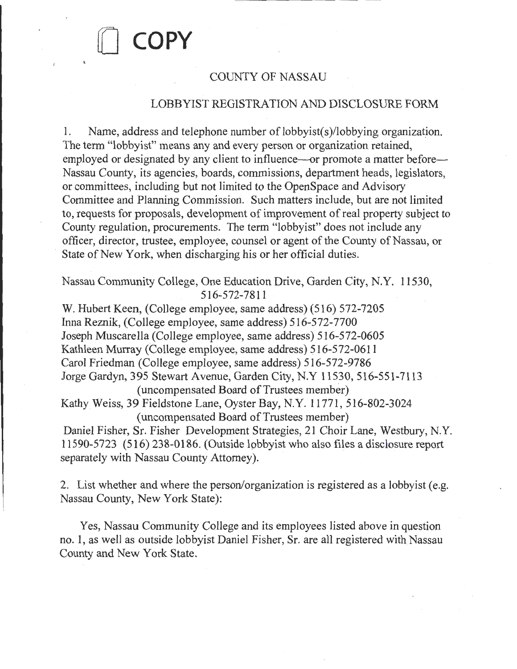## [] **COPY**

## COUNTY OF NASSAU

## LOBBYIST REGISTRATION AND DISCLOSURE FORM

1. Name, address and telephone number of lobbyist(s)/lobbying organization. The term "lobbyist" means any and every person or organization retained, employed or designated by any client to influence—or promote a matter before— Nassau County, its agencies, boards, commissions, department heads, legislators, or committees, including but not limited to the OpenSpace and Advisory Committee and Planning Commission. Such matters include, but are not limited to, requests for proposals, development of improvement of real property subject to County regulation, procurements. The term "lobbyist" does not include any officer, director, trustee, employee, counsel or agent of the County of Nassau, or State of New York, when discharging his or her official duties.

Nassau Community College, One Education Drive, Garden City, N.Y. 11530, 516-572-7811

W. Hubert Keen, (College employee, same address) (516) 572-7205 Inna Reznik, (College employee, same address) 516-572-7700 Joseph Muscarella (College employee, same address) 516-572-0605 Kathleen Murray (College employee, same address) 516-572-0611 Carol Friedman (College employee, same address) 516-572-9786 Jorge Gardyn, 395 Stewart Avenue, Garden City, N.Y 11530, 516-551-7113 (uncompensated Board of Trustees member)

Kathy Weiss, 39 Fieldstone Lane, Oyster Bay, N.Y. 11771, 516-802-3024 (uncompensated Board of Trustees member)

Daniel Fisher, Sr. Fisher Development Strategies, 21 Choir Lane, Westbury, N.Y. 11590-5723 (516) 238-0186. (Outside lobbyist who also files a disclosure report separately with Nassau County Attorney).

2. List whether and where the person/organization is registered as a lobbyist (e.g. Nassau County, New York State):

Yes, Nassau Community College and its employees listed above in question no. 1, as well as outside lobbyist Daniel Fisher, Sr. are all registered with Nassau County and New York State.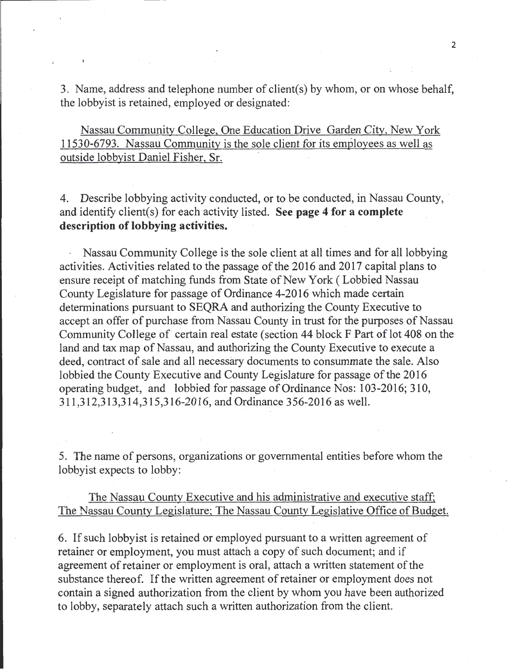3. Name, address and telephone number of client(s) by whom, or on whose behalf, the lobbyist is retained, employed or designated:

Nassau Community College, One Education Drive Garden City, New York 11530-6793. Nassau Community is the sole client for its employees as well as outside lobbyist Daniel Fisher, Sr.

4. Describe lobbying activity conducted, or to be conducted, in Nassau County, and identify client(s) for each activity listed. **See page 4 for a complete description of lobbying activities.** 

Nassau Community College is the sole client at all times and for all lobbying activities. Activities related to the passage of the 2016 and 2017 capital plans to ensure receipt of matching funds from State of New York (Lobbied Nassau County Legislature for passage of Ordinance 4-2016 which made certain determinations pursuant to SEQRA and authorizing the County Executive to accept an offer of purchase from Nassau County in trust for the purposes of Nassau Community College of certain real estate (section 44 block F Part of lot 408 on the land and tax map of Nassau, and authorizing the County Executive to execute a deed, contract of sale and all necessary documents to consummate the sale. Also lobbied the County Executive and County Legislature for passage of the 2016 operating budget, and lobbied for passage of Ordinance Nos: 103-2016; 310, 311,312,313,314,315,316-2016, and Ordinance 356-2016 as well.

5. The name of persons, organizations or governmental entities before whom the lobbyist expects to lobby:

The Nassau County Executive and his administrative and executive staff; The Nassau County Legislature; The Nassau County Legislative Office of Budget.

6. If such lobbyist is retained or employed pursuant to a written agreement of retainer or employment, you must attach a copy of such document; and if agreement of retainer or employment is oral, attach a written statement of the substance thereof. If the written agreement of retainer or employment does not contain a signed authorization from the client by whom you have been authorized to lobby, separately attach such a written authorization from the client.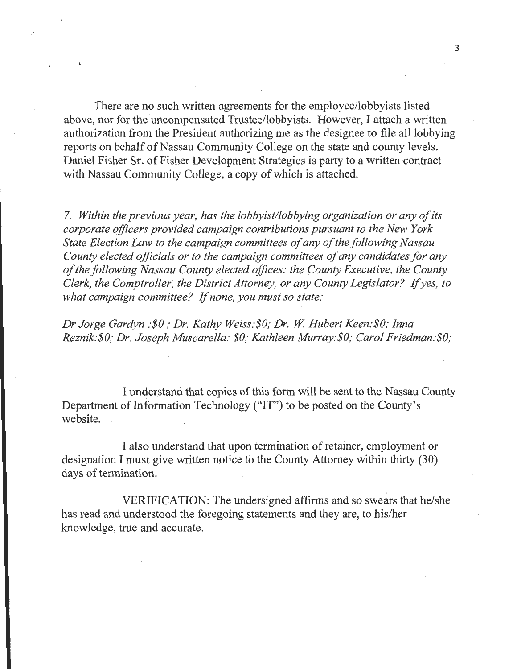There are no such written agreements for the employee/lobbyists listed above, nor for the uncompensated Trustee/lobbyists. However, I attach a written authorization from the President authorizing me as the designee to file all lobbying reports on behalf of Nassau Community College on the state and county levels. Daniel Fisher Sr. of Fisher Development Strategies is party to a written contract with Nassau Community College, a copy of which is attached.

7. *Within the previous year, has the lobbyist/lobbying organization or any of its corporate officers provided campaign contributions pursuant to the New York State Election Law to the campaign committees of any of the following Nassau County elected officials or to the campaign committees of any candidates for any of the following Nassau County elected offices: the County Executive, the County Clerk, the Comptroller, the District Attorney, or any County Legislator?* If *yes, to what campaign committee?* If *none, you must so state:* 

*Dr Jorge Gardyn :\$0 ,·Dr. Kathy Weiss:\$0; Dr.* W. *Hubert Keen.·\$0; lnna Reznik:\$0,· Dr. Joseph Muscarella: \$0; Kathleen Murray.·\$0; Carol Friedman:\$0;* 

I understand that copies of this form will be sent to the Nassau County Department of Information Technology ("IT") to be posted on the County's website.

I also understand that upon termination of retainer, employment or designation I must give written notice to the County Attorney within thirty (30) days of termination.

VERIFICATION: The undersigned affirms and so swears that he/she has read and understood the foregoing statements and they are, to his/her knowledge, true and accurate.